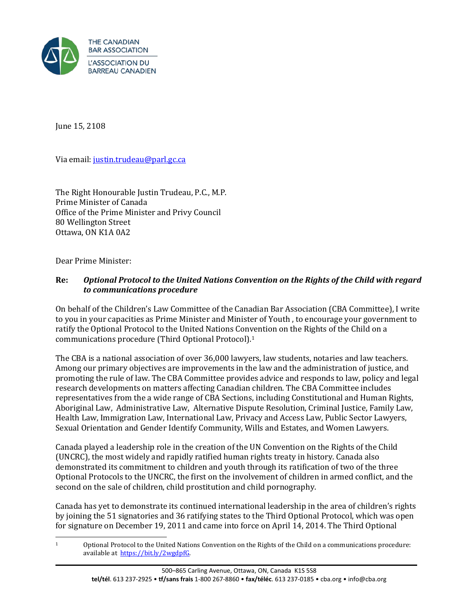

June 15, 2108

Via email[: justin.trudeau@parl.gc.ca](mailto:justin.trudeau@parl.gc.ca) 

The Right Honourable Justin Trudeau, P.C., M.P. Prime Minister of Canada Office of the Prime Minister and Privy Council 80 Wellington Street Ottawa, ON K1A 0A2

Dear Prime Minister:

## **Re:** *Optional Protocol to the United Nations Convention on the Rights of the Child with regard to communications procedure*

On behalf of the Children's Law Committee of the Canadian Bar Association (CBA Committee), I write to you in your capacities as Prime Minister and Minister of Youth , to encourage your government to ratify the Optional Protocol to the United Nations Convention on the Rights of the Child on a communications procedure (Third Optional Protocol).[1](#page-0-0)

The CBA is a national association of over 36,000 lawyers, law students, notaries and law teachers. Among our primary objectives are improvements in the law and the administration of justice, and promoting the rule of law. The CBA Committee provides advice and responds to law, policy and legal research developments on matters affecting Canadian children. The CBA Committee includes representatives from the a wide range of CBA Sections, including Constitutional and Human Rights, Aboriginal Law, Administrative Law, Alternative Dispute Resolution, Criminal Justice, Family Law, Health Law, Immigration Law, International Law, Privacy and Access Law, Public Sector Lawyers, Sexual Orientation and Gender Identify Community, Wills and Estates, and Women Lawyers.

Canada played a leadership role in the creation of the UN Convention on the Rights of the Child (UNCRC), the most widely and rapidly ratified human rights treaty in history. Canada also demonstrated its commitment to children and youth through its ratification of two of the three Optional Protocols to the UNCRC, the first on the involvement of children in armed conflict, and the second on the sale of children, child prostitution and child pornography.

Canada has yet to demonstrate its continued international leadership in the area of children's rights by joining the 51 signatories and 36 ratifying states to the Third Optional Protocol, which was open for signature on December 19, 2011 and came into force on April 14, 2014. The Third Optional

<span id="page-0-0"></span> $\mathbf{1}$ 1 Optional Protocol to the United Nations Convention on the Rights of the Child on a communications procedure: available at [https://bit.ly/2wgdpfG.](https://bit.ly/2wgdpfG)